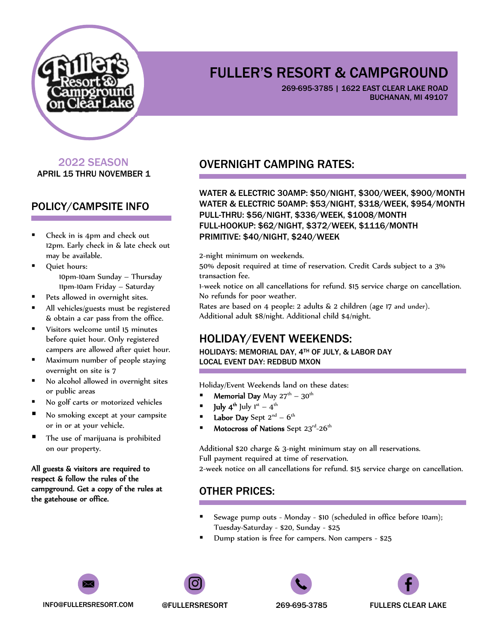

269-695-3785 | 1622 EAST CLEAR LAKE ROAD BUCHANAN, MI 49107

## 2022 SEASON APRIL 15 THRU NOVEMBER 1

## POLICY/CAMPSITE INFO

- Check in is 4pm and check out 12pm. Early check in & late check out may be available.
- Quiet hours: 10pm-10am Sunday – Thursday 11pm-10am Friday – Saturday
- Pets allowed in overnight sites.
- All vehicles/guests must be registered & obtain a car pass from the office.
- **Visitors welcome until 15 minutes** before quiet hour. Only registered campers are allowed after quiet hour.
- **Maximum number of people staying** overnight on site is 7
- No alcohol allowed in overnight sites or public areas
- No golf carts or motorized vehicles
- No smoking except at your campsite or in or at your vehicle.
- The use of marijuana is prohibited on our property.

All guests & visitors are required to respect & follow the rules of the campground. Get a copy of the rules at the gatehouse or office.

## OVERNIGHT CAMPING RATES:

WATER & ELECTRIC 30AMP: \$50/NIGHT, \$300/WEEK, \$900/MONTH WATER & ELECTRIC 50AMP: \$53/NIGHT, \$318/WEEK, \$954/MONTH PULL-THRU: \$56/NIGHT, \$336/WEEK, \$1008/MONTH FULL-HOOKUP: \$62/NIGHT, \$372/WEEK, \$1116/MONTH PRIMITIVE: \$40/NIGHT, \$240/WEEK

2-night minimum on weekends.

50% deposit required at time of reservation. Credit Cards subject to a 3% transaction fee.

1-week notice on all cancellations for refund. \$15 service charge on cancellation. No refunds for poor weather.

Rates are based on 4 people: 2 adults & 2 children (age 17 and under). Additional adult \$8/night. Additional child \$4/night.

## HOLIDAY/EVENT WEEKENDS:

HOLIDAYS: MEMORIAL DAY, 4TH OF JULY, & LABOR DAY LOCAL EVENT DAY: REDBUD MXON

Holiday/Event Weekends land on these dates:

- **Memorial Day** May  $27^{\text{th}} 30^{\text{th}}$
- $\blacksquare$  **July 4<sup>th</sup>** July 1<sup>st</sup> 4<sup>th</sup>
- Labor Day Sept  $2^{nd} 6^{th}$
- Motocross of Nations Sept  $23^{\text{rd}}$ -26<sup>th</sup>

Additional \$20 charge & 3-night minimum stay on all reservations. Full payment required at time of reservation.

2-week notice on all cancellations for refund. \$15 service charge on cancellation.

## OTHER PRICES:

- Sewage pump outs Monday \$10 (scheduled in office before 10am); Tuesday-Saturday - \$20, Sunday - \$25
- Dump station is free for campers. Non campers \$25



INFO@FULLERSRESORT.COM @FULLERSRESORT 269-695-3785 FULLERS CLEAR LAKE





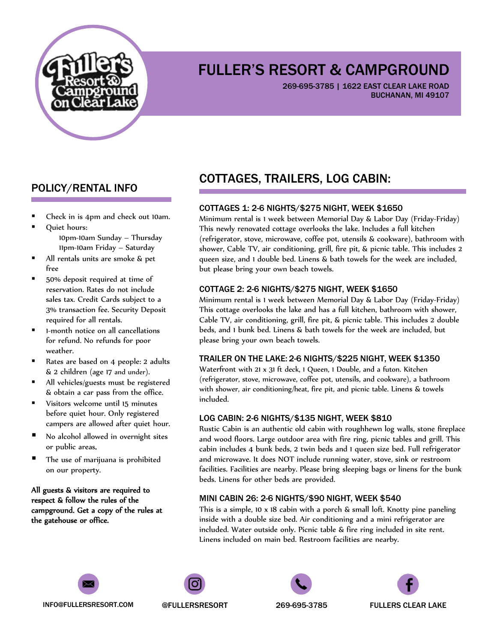

269-695-3785 | 1622 EAST CLEAR LAKE ROAD BUCHANAN, MI 49107

## POLICY/RENTAL INFO

- Check in is 4pm and check out 10am.
- Quiet hours: 10pm-10am Sunday – Thursday 11pm-10am Friday – Saturday
- All rentals units are smoke & pet free
- 50% deposit required at time of reservation. Rates do not include sales tax. Credit Cards subject to a 3% transaction fee. Security Deposit required for all rentals.
- **I** 1-month notice on all cancellations for refund. No refunds for poor weather.
- Rates are based on 4 people: 2 adults & 2 children (age 17 and under).
- All vehicles/guests must be registered & obtain a car pass from the office.
- Visitors welcome until 15 minutes before quiet hour. Only registered campers are allowed after quiet hour.
- No alcohol allowed in overnight sites or public areas.
- **The use of marijuana is prohibited** on our property.

All guests & visitors are required to respect & follow the rules of the campground. Get a copy of the rules at the gatehouse or office.

# COTTAGES, TRAILERS, LOG CABIN:

### COTTAGES 1: 2-6 NIGHTS/\$275 NIGHT, WEEK \$1650

Minimum rental is 1 week between Memorial Day & Labor Day (Friday-Friday) This newly renovated cottage overlooks the lake. Includes a full kitchen (refrigerator, stove, microwave, coffee pot, utensils & cookware), bathroom with shower, Cable TV, air conditioning, grill, fire pit, & picnic table. This includes 2 queen size, and 1 double bed. Linens & bath towels for the week are included, but please bring your own beach towels.

#### COTTAGE 2: 2-6 NIGHTS/\$275 NIGHT, WEEK \$1650

Minimum rental is 1 week between Memorial Day & Labor Day (Friday-Friday) This cottage overlooks the lake and has a full kitchen, bathroom with shower, Cable TV, air conditioning, grill, fire pit, & picnic table. This includes 2 double beds, and 1 bunk bed. Linens & bath towels for the week are included, but please bring your own beach towels.

#### TRAILER ON THE LAKE: 2-6 NIGHTS/\$225 NIGHT, WEEK \$1350

Waterfront with 21 x 31 ft deck, 1 Queen, 1 Double, and a futon. Kitchen (refrigerator, stove, microwave, coffee pot, utensils, and cookware), a bathroom with shower, air conditioning/heat, fire pit, and picnic table. Linens & towels included.

#### LOG CABIN: 2-6 NIGHTS/\$135 NIGHT, WEEK \$810

Rustic Cabin is an authentic old cabin with roughhewn log walls, stone fireplace and wood floors. Large outdoor area with fire ring, picnic tables and grill. This cabin includes 4 bunk beds, 2 twin beds and 1 queen size bed. Full refrigerator and microwave. It does NOT include running water, stove, sink or restroom facilities. Facilities are nearby. Please bring sleeping bags or linens for the bunk beds. Linens for other beds are provided.

#### MINI CABIN 26: 2-6 NIGHTS/\$90 NIGHT, WEEK \$540

This is a simple, 10 x 18 cabin with a porch & small loft. Knotty pine paneling inside with a double size bed. Air conditioning and a mini refrigerator are included. Water outside only. Picnic table & fire ring included in site rent. Linens included on main bed. Restroom facilities are nearby.



INFO@FULLERSRESORT.COM @FULLERSRESORT 269-695-3785 FULLERS CLEAR LAKE





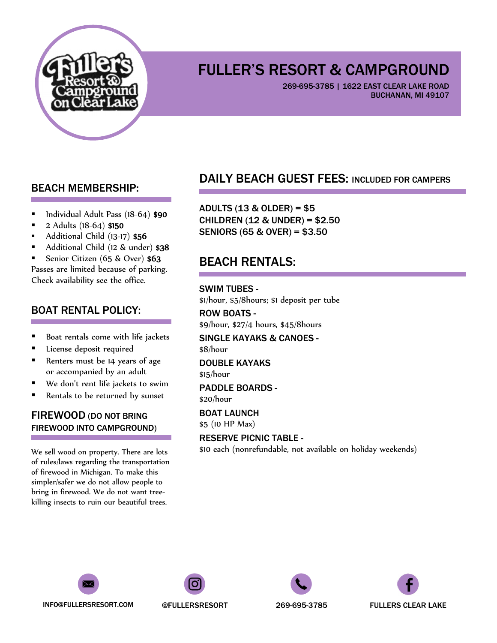

269-695-3785 | 1622 EAST CLEAR LAKE ROAD BUCHANAN, MI 49107

## BEACH MEMBERSHIP:

- Individual Adult Pass (18-64) \$90
- 2 Adults (18-64) \$150
- Additional Child (13-17) \$56
- Additional Child (12 & under) \$38
- Senior Citizen (65 & Over) \$63

Passes are limited because of parking. Check availability see the office.

## BOAT RENTAL POLICY:

- Boat rentals come with life jackets
- **License deposit required**
- Renters must be 14 years of age or accompanied by an adult
- We don't rent life jackets to swim
- Rentals to be returned by sunset

## FIREWOOD (DO NOT BRING FIREWOOD INTO CAMPGROUND)

We sell wood on property. There are lots of rules/laws regarding the transportation of firewood in Michigan. To make this simpler/safer we do not allow people to bring in firewood. We do not want treekilling insects to ruin our beautiful trees.

## DAILY BEACH GUEST FEES: INCLUDED FOR CAMPERS

ADULTS (13 & OLDER) = \$5 CHILDREN (12 & UNDER) = \$2.50 SENIORS (65 & OVER) = \$3.50

# BEACH RENTALS:

#### SWIM TUBES -

\$1/hour, \$5/8hours; \$1 deposit per tube ROW BOATS -

\$9/hour, \$27/4 hours, \$45/8hours

SINGLE KAYAKS & CANOES - \$8/hour

#### DOUBLE KAYAKS \$15/hour

PADDLE BOARDS - \$20/hour

BOAT LAUNCH

\$5 (10 HP Max)

#### RESERVE PICNIC TABLE -

\$10 each (nonrefundable, not available on holiday weekends)